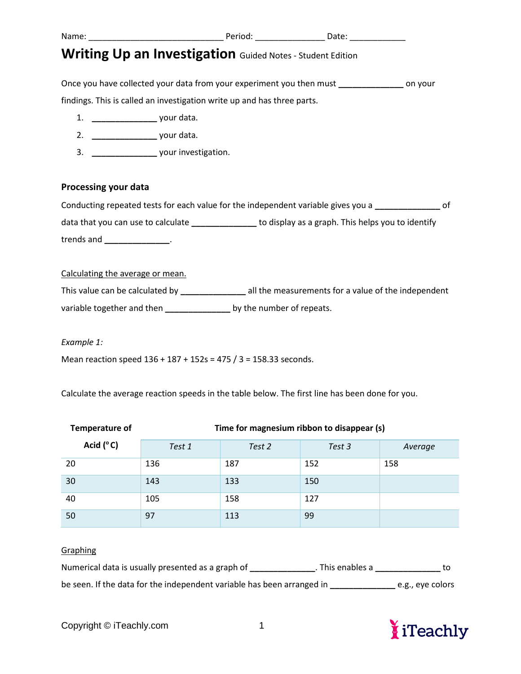### Name: \_\_\_\_\_\_\_\_\_\_\_\_\_\_\_\_\_\_\_\_\_\_\_\_\_\_\_\_\_ Period: \_\_\_\_\_\_\_\_\_\_\_\_\_\_\_ Date: \_\_\_\_\_\_\_\_\_\_\_\_

# **Writing Up an Investigation** Guided Notes - Student Edition

Once you have collected your data from your experiment you then must **\_\_\_\_\_\_\_\_\_\_\_\_\_\_** on your findings. This is called an investigation write up and has three parts.

- 1. **\_\_\_\_\_\_\_\_\_\_\_\_\_\_** your data.
- 2. **\_\_\_\_\_\_\_\_\_\_\_\_\_\_** your data.
- 3. **\_\_\_\_\_\_\_\_\_\_\_\_\_\_** your investigation.

### **Processing your data**

| Conducting repeated tests for each value for the independent variable gives you a |                                                   |  |
|-----------------------------------------------------------------------------------|---------------------------------------------------|--|
| data that you can use to calculate                                                | to display as a graph. This helps you to identify |  |
| trends and                                                                        |                                                   |  |

Calculating the average or mean.

This value can be calculated by **\_\_\_\_\_\_\_\_\_\_\_\_\_\_** all the measurements for a value of the independent

variable together and then **\_\_\_\_\_\_\_\_\_\_\_\_\_\_** by the number of repeats.

*Example 1:* 

Mean reaction speed 136 + 187 + 152s = 475 / 3 = 158.33 seconds.

Calculate the average reaction speeds in the table below. The first line has been done for you.

| <b>Temperature of</b> | Time for magnesium ribbon to disappear (s) |        |        |         |  |
|-----------------------|--------------------------------------------|--------|--------|---------|--|
| Acid $(^{\circ}C)$    | Test 1                                     | Test 2 | Test 3 | Average |  |
| 20                    | 136                                        | 187    | 152    | 158     |  |
| 30                    | 143                                        | 133    | 150    |         |  |
| 40                    | 105                                        | 158    | 127    |         |  |
| 50                    | 97                                         | 113    | 99     |         |  |

### **Graphing**

| Numerical data is usually presented as a graph of                      | . This enables a |                  |
|------------------------------------------------------------------------|------------------|------------------|
| be seen. If the data for the independent variable has been arranged in |                  | e.g., eye colors |

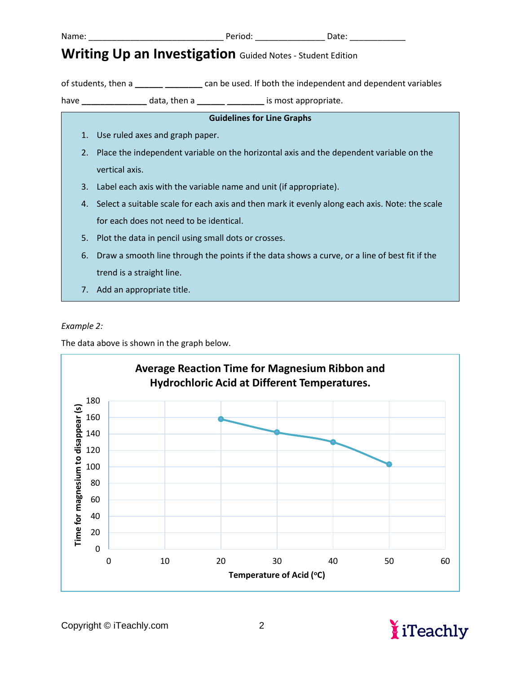Name: \_\_\_\_\_\_\_\_\_\_\_\_\_\_\_\_\_\_\_\_\_\_\_\_\_\_\_\_\_ Period: \_\_\_\_\_\_\_\_\_\_\_\_\_\_\_ Date: \_\_\_\_\_\_\_\_\_\_\_\_

# **Writing Up an Investigation** Guided Notes - Student Edition

of students, then a **\_\_\_\_\_\_ \_\_\_\_\_\_\_\_** can be used. If both the independent and dependent variables

have **\_\_\_\_\_\_\_\_\_\_\_\_\_\_** data, then a **\_\_\_\_\_\_ \_\_\_\_\_\_\_\_** is most appropriate.

| <b>Guidelines for Line Graphs</b> |    |                                                                                                   |  |  |  |
|-----------------------------------|----|---------------------------------------------------------------------------------------------------|--|--|--|
|                                   | 1. | Use ruled axes and graph paper.                                                                   |  |  |  |
|                                   | 2. | Place the independent variable on the horizontal axis and the dependent variable on the           |  |  |  |
|                                   |    | vertical axis.                                                                                    |  |  |  |
|                                   | 3. | Label each axis with the variable name and unit (if appropriate).                                 |  |  |  |
|                                   |    | 4. Select a suitable scale for each axis and then mark it evenly along each axis. Note: the scale |  |  |  |
|                                   |    | for each does not need to be identical.                                                           |  |  |  |
|                                   | 5. | Plot the data in pencil using small dots or crosses.                                              |  |  |  |
|                                   | 6. | Draw a smooth line through the points if the data shows a curve, or a line of best fit if the     |  |  |  |
|                                   |    | trend is a straight line.                                                                         |  |  |  |
|                                   | 7. | Add an appropriate title.                                                                         |  |  |  |

#### *Example 2:*

The data above is shown in the graph below.



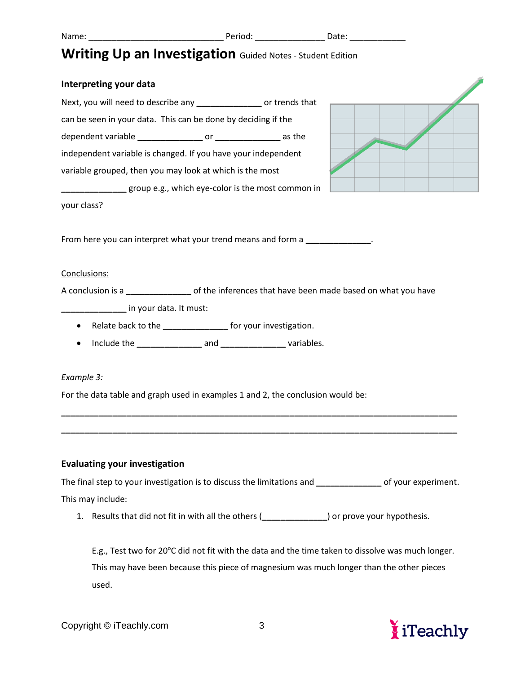Name: \_\_\_\_\_\_\_\_\_\_\_\_\_\_\_\_\_\_\_\_\_\_\_\_\_\_\_\_\_ Period: \_\_\_\_\_\_\_\_\_\_\_\_\_\_\_ Date: \_\_\_\_\_\_\_\_\_\_\_\_

## **Writing Up an Investigation** Guided Notes - Student Edition

# **Interpreting your data** Next, you will need to describe any **\_\_\_\_\_\_\_\_\_\_\_\_\_\_** or trends that can be seen in your data. This can be done by deciding if the dependent variable **\_\_\_\_\_\_\_\_\_\_\_\_\_\_** or **\_\_\_\_\_\_\_\_\_\_\_\_\_\_** as the independent variable is changed. If you have your independent variable grouped, then you may look at which is the most **\_\_\_\_\_\_\_\_\_\_\_\_\_\_** group e.g., which eye-color is the most common in your class? From here you can interpret what your trend means and form a **\_\_\_\_\_\_\_\_\_\_\_\_\_\_**. Conclusions: A conclusion is a **\_\_\_\_\_\_\_\_\_\_\_\_\_\_** of the inferences that have been made based on what you have **\_\_\_\_\_\_\_\_\_\_\_\_\_\_** in your data. It must: • Relate back to the **\_\_\_\_\_\_\_\_\_\_\_\_\_\_** for your investigation. • Include the **\_\_\_\_\_\_\_\_\_\_\_\_\_\_** and **\_\_\_\_\_\_\_\_\_\_\_\_\_\_** variables.

#### *Example 3:*

For the data table and graph used in examples 1 and 2, the conclusion would be:

#### **Evaluating your investigation**

The final step to your investigation is to discuss the limitations and **\_\_\_\_\_\_\_\_\_\_\_\_\_\_** of your experiment. This may include:

**\_\_\_\_\_\_\_\_\_\_\_\_\_\_\_\_\_\_\_\_\_\_\_\_\_\_\_\_\_\_\_\_\_\_\_\_\_\_\_\_\_\_\_\_\_\_\_\_\_\_\_\_\_\_\_\_\_\_\_\_\_\_\_\_\_\_\_\_\_\_\_\_\_\_\_\_\_\_\_\_\_\_\_\_\_**

**\_\_\_\_\_\_\_\_\_\_\_\_\_\_\_\_\_\_\_\_\_\_\_\_\_\_\_\_\_\_\_\_\_\_\_\_\_\_\_\_\_\_\_\_\_\_\_\_\_\_\_\_\_\_\_\_\_\_\_\_\_\_\_\_\_\_\_\_\_\_\_\_\_\_\_\_\_\_\_\_\_\_\_\_\_**

1. Results that did not fit in with all the others (**\_\_\_\_\_\_\_\_\_\_\_\_\_\_**) or prove your hypothesis.

E.g., Test two for 20°C did not fit with the data and the time taken to dissolve was much longer. This may have been because this piece of magnesium was much longer than the other pieces used.